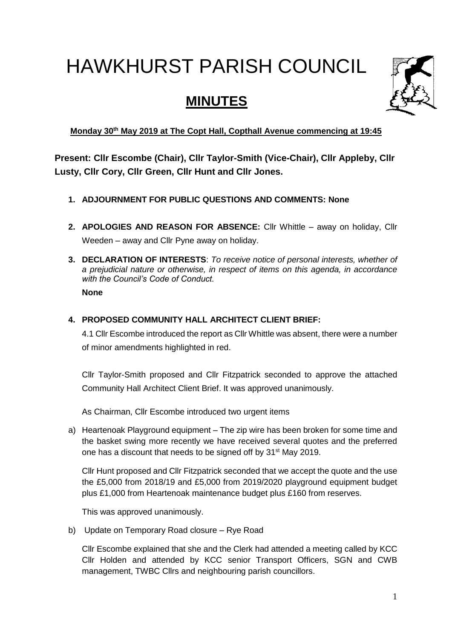# HAWKHURST PARISH COUNCIL

# **MINUTES**



**Monday 30 th May 2019 at The Copt Hall, Copthall Avenue commencing at 19:45**

**Present: Cllr Escombe (Chair), Cllr Taylor-Smith (Vice-Chair), Cllr Appleby, Cllr Lusty, Cllr Cory, Cllr Green, Cllr Hunt and Cllr Jones.**

- **1. ADJOURNMENT FOR PUBLIC QUESTIONS AND COMMENTS: None**
- **2. APOLOGIES AND REASON FOR ABSENCE:** Cllr Whittle away on holiday, Cllr Weeden – away and Cllr Pyne away on holiday.
- **3. DECLARATION OF INTERESTS**: *To receive notice of personal interests, whether of a prejudicial nature or otherwise, in respect of items on this agenda, in accordance with the Council's Code of Conduct.* **None**
- **4. PROPOSED COMMUNITY HALL ARCHITECT CLIENT BRIEF:**

4.1 Cllr Escombe introduced the report as Cllr Whittle was absent, there were a number of minor amendments highlighted in red.

Cllr Taylor-Smith proposed and Cllr Fitzpatrick seconded to approve the attached Community Hall Architect Client Brief. It was approved unanimously.

As Chairman, Cllr Escombe introduced two urgent items

a) Heartenoak Playground equipment – The zip wire has been broken for some time and the basket swing more recently we have received several quotes and the preferred one has a discount that needs to be signed off by 31<sup>st</sup> May 2019.

Cllr Hunt proposed and Cllr Fitzpatrick seconded that we accept the quote and the use the £5,000 from 2018/19 and £5,000 from 2019/2020 playground equipment budget plus £1,000 from Heartenoak maintenance budget plus £160 from reserves.

This was approved unanimously.

b) Update on Temporary Road closure – Rye Road

Cllr Escombe explained that she and the Clerk had attended a meeting called by KCC Cllr Holden and attended by KCC senior Transport Officers, SGN and CWB management, TWBC Cllrs and neighbouring parish councillors.